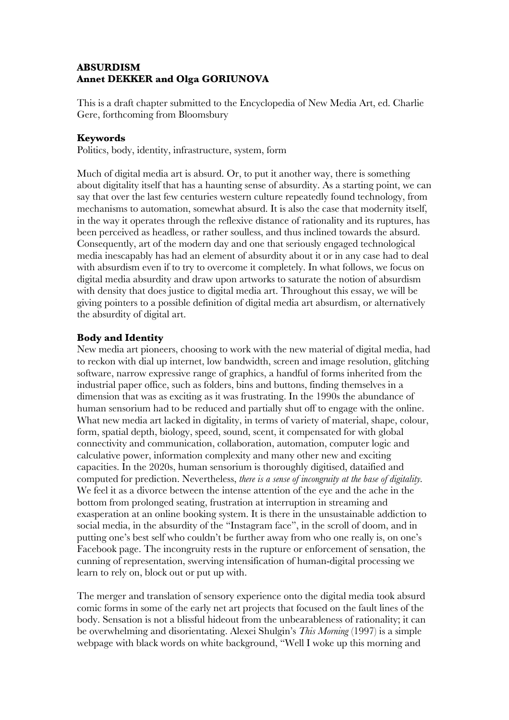# **ABSURDISM Annet DEKKER and Olga GORIUNOVA**

This is a draft chapter submitted to the Encyclopedia of New Media Art, ed. Charlie Gere, forthcoming from Bloomsbury

## **Keywords**

Politics, body, identity, infrastructure, system, form

Much of digital media art is absurd. Or, to put it another way, there is something about digitality itself that has a haunting sense of absurdity. As a starting point, we can say that over the last few centuries western culture repeatedly found technology, from mechanisms to automation, somewhat absurd. It is also the case that modernity itself, in the way it operates through the reflexive distance of rationality and its ruptures, has been perceived as headless, or rather soulless, and thus inclined towards the absurd. Consequently, art of the modern day and one that seriously engaged technological media inescapably has had an element of absurdity about it or in any case had to deal with absurdism even if to try to overcome it completely. In what follows, we focus on digital media absurdity and draw upon artworks to saturate the notion of absurdism with density that does justice to digital media art. Throughout this essay, we will be giving pointers to a possible definition of digital media art absurdism, or alternatively the absurdity of digital art.

## **Body and Identity**

New media art pioneers, choosing to work with the new material of digital media, had to reckon with dial up internet, low bandwidth, screen and image resolution, glitching software, narrow expressive range of graphics, a handful of forms inherited from the industrial paper office, such as folders, bins and buttons, finding themselves in a dimension that was as exciting as it was frustrating. In the 1990s the abundance of human sensorium had to be reduced and partially shut off to engage with the online. What new media art lacked in digitality, in terms of variety of material, shape, colour, form, spatial depth, biology, speed, sound, scent, it compensated for with global connectivity and communication, collaboration, automation, computer logic and calculative power, information complexity and many other new and exciting capacities. In the 2020s, human sensorium is thoroughly digitised, dataified and computed for prediction. Nevertheless, *there is a sense of incongruity at the base of digitality.* We feel it as a divorce between the intense attention of the eye and the ache in the bottom from prolonged seating, frustration at interruption in streaming and exasperation at an online booking system. It is there in the unsustainable addiction to social media, in the absurdity of the "Instagram face", in the scroll of doom, and in putting one's best self who couldn't be further away from who one really is, on one's Facebook page. The incongruity rests in the rupture or enforcement of sensation, the cunning of representation, swerving intensification of human-digital processing we learn to rely on, block out or put up with.

The merger and translation of sensory experience onto the digital media took absurd comic forms in some of the early net art projects that focused on the fault lines of the body. Sensation is not a blissful hideout from the unbearableness of rationality; it can be overwhelming and disorientating. Alexei Shulgin's *This Morning* (1997) is a simple webpage with black words on white background, "Well I woke up this morning and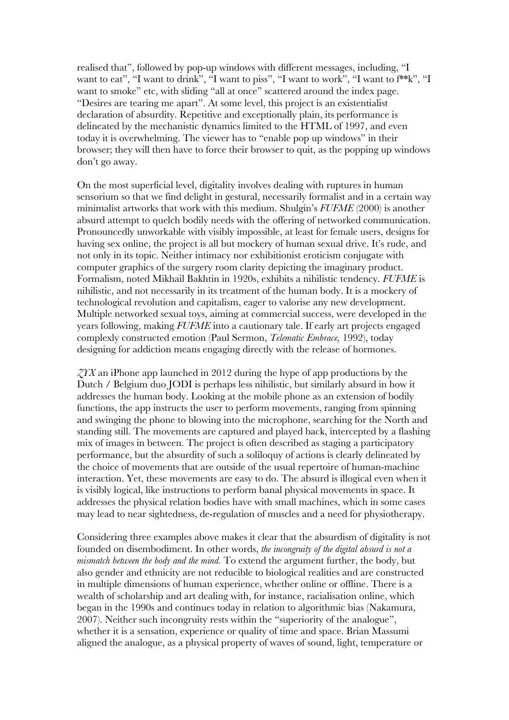realised that", followed by pop-up windows with different messages, including, "I want to eat", "I want to drink", "I want to piss", "I want to work", "I want to f\*\*k", "I want to smoke" etc, with sliding "all at once" scattered around the index page. "Desires are tearing me apart". At some level, this project is an existentialist declaration of absurdity. Repetitive and exceptionally plain, its performance is delineated by the mechanistic dynamics limited to the HTML of 1997, and even today it is overwhelming. The viewer has to "enable pop up windows" in their browser; they will then have to force their browser to quit, as the popping up windows don't go away.

On the most superficial level, digitality involves dealing with ruptures in human sensorium so that we find delight in gestural, necessarily formalist and in a certain way minimalist artworks that work with this medium. Shulgin's *FUFME* (2000) is another absurd attempt to quelch bodily needs with the offering of networked communication. Pronouncedly unworkable with visibly impossible, at least for female users, designs for having sex online, the project is all but mockery of human sexual drive. It's rude, and not only in its topic. Neither intimacy nor exhibitionist eroticism conjugate with computer graphics of the surgery room clarity depicting the imaginary product. Formalism, noted Mikhail Bakhtin in 1920s, exhibits a nihilistic tendency. *FUFME* is nihilistic, and not necessarily in its treatment of the human body. It is a mockery of technological revolution and capitalism, eager to valorise any new development. Multiple networked sexual toys, aiming at commercial success, were developed in the years following, making *FUFME* into a cautionary tale. If early art projects engaged complexly constructed emotion (Paul Sermon, *Telematic Embrace,* 1992), today designing for addiction means engaging directly with the release of hormones.

*ZYX* an iPhone app launched in 2012 during the hype of app productions by the Dutch / Belgium duo JODI is perhaps less nihilistic, but similarly absurd in how it addresses the human body. Looking at the mobile phone as an extension of bodily functions, the app instructs the user to perform movements, ranging from spinning and swinging the phone to blowing into the microphone, searching for the North and standing still. The movements are captured and played back, intercepted by a flashing mix of images in between. The project is often described as staging a participatory performance, but the absurdity of such a soliloquy of actions is clearly delineated by the choice of movements that are outside of the usual repertoire of human-machine interaction. Yet, these movements are easy to do. The absurd is illogical even when it is visibly logical, like instructions to perform banal physical movements in space. It addresses the physical relation bodies have with small machines, which in some cases may lead to near sightedness, de-regulation of muscles and a need for physiotherapy.

Considering three examples above makes it clear that the absurdism of digitality is not founded on disembodiment. In other words, *the incongruity of the digital absurd is not a mismatch between the body and the mind.* To extend the argument further, the body, but also gender and ethnicity are not reducible to biological realities and are constructed in multiple dimensions of human experience, whether online or offline. There is a wealth of scholarship and art dealing with, for instance, racialisation online, which began in the 1990s and continues today in relation to algorithmic bias (Nakamura, 2007). Neither such incongruity rests within the "superiority of the analogue", whether it is a sensation, experience or quality of time and space. Brian Massumi aligned the analogue, as a physical property of waves of sound, light, temperature or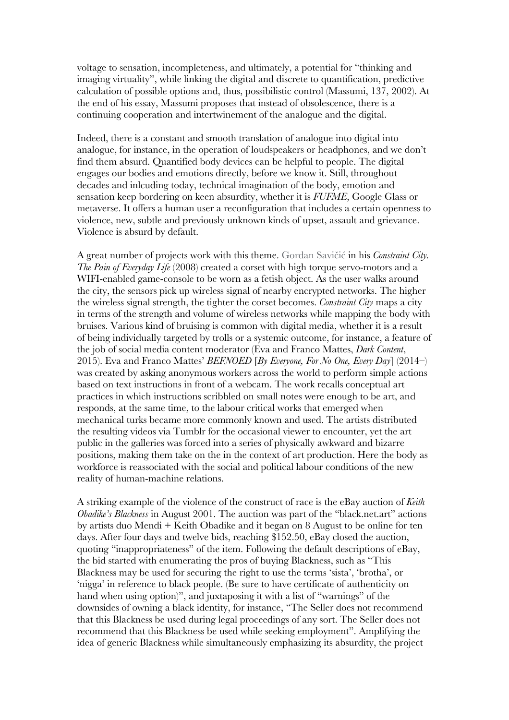voltage to sensation, incompleteness, and ultimately, a potential for "thinking and imaging virtuality", while linking the digital and discrete to quantification, predictive calculation of possible options and, thus, possibilistic control (Massumi, 137, 2002). At the end of his essay, Massumi proposes that instead of obsolescence, there is a continuing cooperation and intertwinement of the analogue and the digital.

Indeed, there is a constant and smooth translation of analogue into digital into analogue, for instance, in the operation of loudspeakers or headphones, and we don't find them absurd. Quantified body devices can be helpful to people. The digital engages our bodies and emotions directly, before we know it. Still, throughout decades and inlcuding today, technical imagination of the body, emotion and sensation keep bordering on keen absurdity, whether it is *FUFME*, Google Glass or metaverse. It offers a human user a reconfiguration that includes a certain openness to violence, new, subtle and previously unknown kinds of upset, assault and grievance. Violence is absurd by default.

A great number of projects work with this theme. Gordan Savičić in his *Constraint City. The Pain of Everyday Life* (2008) created a corset with high torque servo-motors and a WIFI-enabled game-console to be worn as a fetish object. As the user walks around the city, the sensors pick up wireless signal of nearby encrypted networks. The higher the wireless signal strength, the tighter the corset becomes. *Constraint City* maps a city in terms of the strength and volume of wireless networks while mapping the body with bruises. Various kind of bruising is common with digital media, whether it is a result of being individually targeted by trolls or a systemic outcome, for instance, a feature of the job of social media content moderator (Eva and Franco Mattes, *Dark Content*, 2015). Eva and Franco Mattes' *BEFNOED* [*By Everyone, For No One, Every Day*] (2014–) was created by asking anonymous workers across the world to perform simple actions based on text instructions in front of a webcam. The work recalls conceptual art practices in which instructions scribbled on small notes were enough to be art, and responds, at the same time, to the labour critical works that emerged when mechanical turks became more commonly known and used. The artists distributed the resulting videos via Tumblr for the occasional viewer to encounter, yet the art public in the galleries was forced into a series of physically awkward and bizarre positions, making them take on the in the context of art production. Here the body as workforce is reassociated with the social and political labour conditions of the new reality of human-machine relations.

A striking example of the violence of the construct of race is the eBay auction of *Keith Obadike's Blackness* in August 2001. The auction was part of the "black.net.art" actions by artists duo Mendi + Keith Obadike and it began on 8 August to be online for ten days. After four days and twelve bids, reaching \$152.50, eBay closed the auction, quoting "inappropriateness" of the item. Following the default descriptions of eBay, the bid started with enumerating the pros of buying Blackness, such as "This Blackness may be used for securing the right to use the terms 'sista', 'brotha', or 'nigga' in reference to black people. (Be sure to have certificate of authenticity on hand when using option)", and juxtaposing it with a list of "warnings" of the downsides of owning a black identity, for instance, "The Seller does not recommend that this Blackness be used during legal proceedings of any sort. The Seller does not recommend that this Blackness be used while seeking employment". Amplifying the idea of generic Blackness while simultaneously emphasizing its absurdity, the project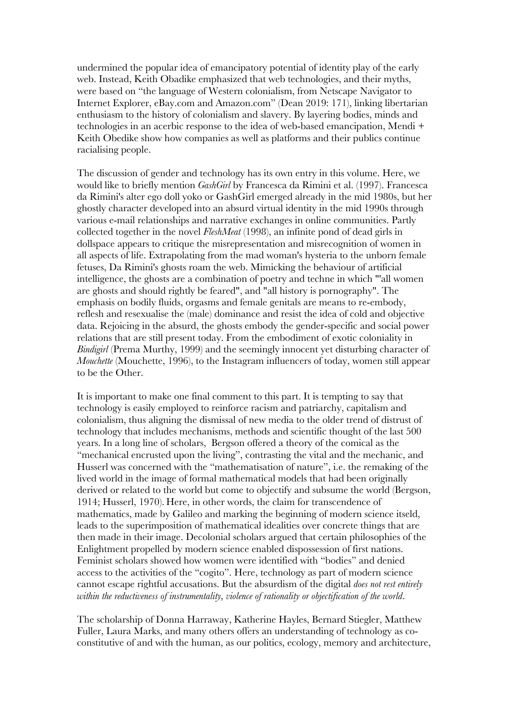undermined the popular idea of emancipatory potential of identity play of the early web. Instead, Keith Obadike emphasized that web technologies, and their myths, were based on "the language of Western colonialism, from Netscape Navigator to Internet Explorer, eBay.com and Amazon.com" (Dean 2019: 171), linking libertarian enthusiasm to the history of colonialism and slavery. By layering bodies, minds and technologies in an acerbic response to the idea of web-based emancipation, Mendi + Keith Obedike show how companies as well as platforms and their publics continue racialising people.

The discussion of gender and technology has its own entry in this volume. Here, we would like to briefly mention *GashGirl* by Francesca da Rimini et al. (1997). Francesca da Rimini's alter ego doll yoko or GashGirl emerged already in the mid 1980s, but her ghostly character developed into an absurd virtual identity in the mid 1990s through various e-mail relationships and narrative exchanges in online communities. Partly collected together in the novel *FleshMeat* (1998), an infinite pond of dead girls in dollspace appears to critique the misrepresentation and misrecognition of women in all aspects of life. Extrapolating from the mad woman's hysteria to the unborn female fetuses, Da Rimini's ghosts roam the web. Mimicking the behaviour of artificial intelligence, the ghosts are a combination of poetry and techne in which "'all women are ghosts and should rightly be feared", and "all history is pornography". The emphasis on bodily fluids, orgasms and female genitals are means to re-embody, reflesh and resexualise the (male) dominance and resist the idea of cold and objective data. Rejoicing in the absurd, the ghosts embody the gender-specific and social power relations that are still present today. From the embodiment of exotic coloniality in *Bindigirl* (Prema Murthy, 1999) and the seemingly innocent yet disturbing character of *Mouchette* (Mouchette, 1996), to the Instagram influencers of today, women still appear to be the Other.

It is important to make one final comment to this part. It is tempting to say that technology is easily employed to reinforce racism and patriarchy, capitalism and colonialism, thus aligning the dismissal of new media to the older trend of distrust of technology that includes mechanisms, methods and scientific thought of the last 500 years. In a long line of scholars, Bergson offered a theory of the comical as the "mechanical encrusted upon the living", contrasting the vital and the mechanic, and Husserl was concerned with the "mathematisation of nature", i.e. the remaking of the lived world in the image of formal mathematical models that had been originally derived or related to the world but come to objectify and subsume the world (Bergson, 1914; Husserl, 1970). Here, in other words, the claim for transcendence of mathematics, made by Galileo and marking the beginning of modern science itseld, leads to the superimposition of mathematical idealities over concrete things that are then made in their image. Decolonial scholars argued that certain philosophies of the Enlightment propelled by modern science enabled dispossession of first nations. Feminist scholars showed how women were identified with "bodies" and denied access to the activities of the "cogito". Here, technology as part of modern science cannot escape rightful accusations. But the absurdism of the digital *does not rest entirely within the reductiveness of instrumentality, violence of rationality or objectification of the world*.

The scholarship of Donna Harraway, Katherine Hayles, Bernard Stiegler, Matthew Fuller, Laura Marks, and many others offers an understanding of technology as coconstitutive of and with the human, as our politics, ecology, memory and architecture,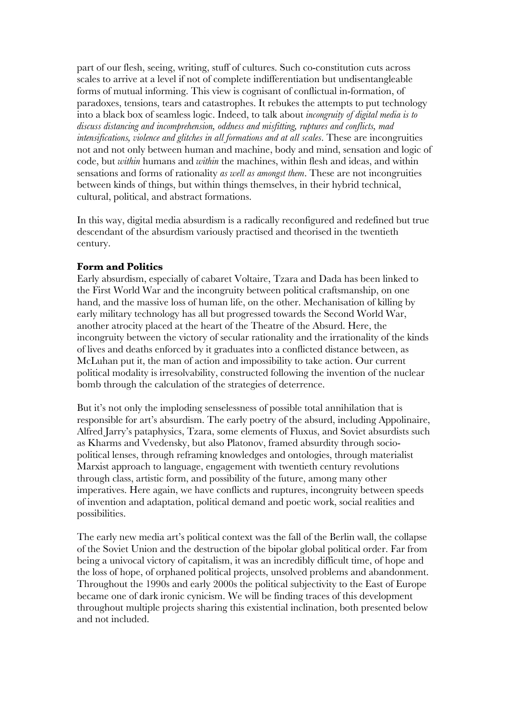part of our flesh, seeing, writing, stuff of cultures. Such co-constitution cuts across scales to arrive at a level if not of complete indifferentiation but undisentangleable forms of mutual informing. This view is cognisant of conflictual in-formation, of paradoxes, tensions, tears and catastrophes. It rebukes the attempts to put technology into a black box of seamless logic. Indeed, to talk about *incongruity of digital media is to discuss distancing and incomprehension, oddness and misfitting, ruptures and conflicts, mad intensifications, violence and glitches in all formations and at all scales*. These are incongruities not and not only between human and machine, body and mind, sensation and logic of code, but *within* humans and *within* the machines, within flesh and ideas, and within sensations and forms of rationality *as well as amongst them*. These are not incongruities between kinds of things, but within things themselves, in their hybrid technical, cultural, political, and abstract formations.

In this way, digital media absurdism is a radically reconfigured and redefined but true descendant of the absurdism variously practised and theorised in the twentieth century.

### **Form and Politics**

Early absurdism, especially of cabaret Voltaire, Tzara and Dada has been linked to the First World War and the incongruity between political craftsmanship, on one hand, and the massive loss of human life, on the other. Mechanisation of killing by early military technology has all but progressed towards the Second World War, another atrocity placed at the heart of the Theatre of the Absurd. Here, the incongruity between the victory of secular rationality and the irrationality of the kinds of lives and deaths enforced by it graduates into a conflicted distance between, as McLuhan put it, the man of action and impossibility to take action. Our current political modality is irresolvability, constructed following the invention of the nuclear bomb through the calculation of the strategies of deterrence.

But it's not only the imploding senselessness of possible total annihilation that is responsible for art's absurdism. The early poetry of the absurd, including Appolinaire, Alfred Jarry's pataphysics, Tzara, some elements of Fluxus, and Soviet absurdists such as Kharms and Vvedensky, but also Platonov, framed absurdity through sociopolitical lenses, through reframing knowledges and ontologies, through materialist Marxist approach to language, engagement with twentieth century revolutions through class, artistic form, and possibility of the future, among many other imperatives. Here again, we have conflicts and ruptures, incongruity between speeds of invention and adaptation, political demand and poetic work, social realities and possibilities.

The early new media art's political context was the fall of the Berlin wall, the collapse of the Soviet Union and the destruction of the bipolar global political order. Far from being a univocal victory of capitalism, it was an incredibly difficult time, of hope and the loss of hope, of orphaned political projects, unsolved problems and abandonment. Throughout the 1990s and early 2000s the political subjectivity to the East of Europe became one of dark ironic cynicism. We will be finding traces of this development throughout multiple projects sharing this existential inclination, both presented below and not included.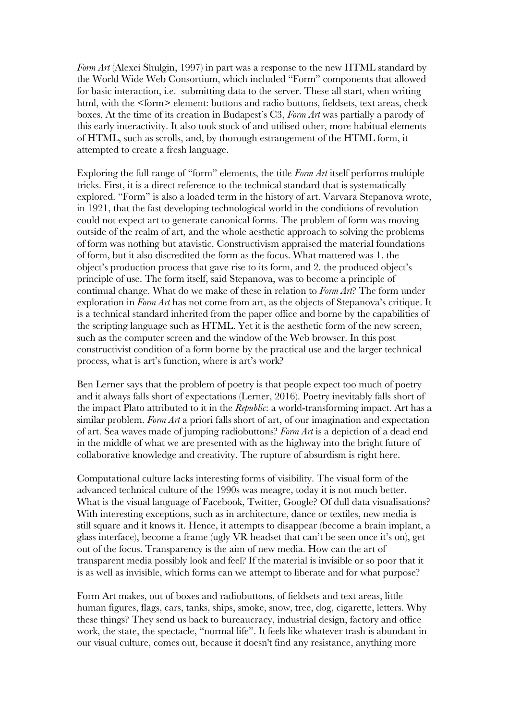*Form Art* (Alexei Shulgin, 1997) in part was a response to the new HTML standard by the World Wide Web Consortium, which included "Form" components that allowed for basic interaction, i.e. submitting data to the server. These all start, when writing html, with the <form> element: buttons and radio buttons, fieldsets, text areas, check boxes. At the time of its creation in Budapest's C3, *Form Art* was partially a parody of this early interactivity. It also took stock of and utilised other, more habitual elements of HTML, such as scrolls, and, by thorough estrangement of the HTML form, it attempted to create a fresh language.

Exploring the full range of "form" elements, the title *Form Art* itself performs multiple tricks. First, it is a direct reference to the technical standard that is systematically explored. "Form" is also a loaded term in the history of art. Varvara Stepanova wrote, in 1921, that the fast developing technological world in the conditions of revolution could not expect art to generate canonical forms. The problem of form was moving outside of the realm of art, and the whole aesthetic approach to solving the problems of form was nothing but atavistic. Constructivism appraised the material foundations of form, but it also discredited the form as the focus. What mattered was 1. the object's production process that gave rise to its form, and 2. the produced object's principle of use. The form itself, said Stepanova, was to become a principle of continual change. What do we make of these in relation to *Form Art*? The form under exploration in *Form Art* has not come from art, as the objects of Stepanova's critique. It is a technical standard inherited from the paper office and borne by the capabilities of the scripting language such as HTML. Yet it is the aesthetic form of the new screen, such as the computer screen and the window of the Web browser. In this post constructivist condition of a form borne by the practical use and the larger technical process, what is art's function, where is art's work?

Ben Lerner says that the problem of poetry is that people expect too much of poetry and it always falls short of expectations (Lerner, 2016). Poetry inevitably falls short of the impact Plato attributed to it in the *Republic*: a world-transforming impact. Art has a similar problem. *Form Art* a priori falls short of art, of our imagination and expectation of art. Sea waves made of jumping radiobuttons? *Form Art* is a depiction of a dead end in the middle of what we are presented with as the highway into the bright future of collaborative knowledge and creativity. The rupture of absurdism is right here.

Computational culture lacks interesting forms of visibility. The visual form of the advanced technical culture of the 1990s was meagre, today it is not much better. What is the visual language of Facebook, Twitter, Google? Of dull data visualisations? With interesting exceptions, such as in architecture, dance or textiles, new media is still square and it knows it. Hence, it attempts to disappear (become a brain implant, a glass interface), become a frame (ugly VR headset that can't be seen once it's on), get out of the focus. Transparency is the aim of new media. How can the art of transparent media possibly look and feel? If the material is invisible or so poor that it is as well as invisible, which forms can we attempt to liberate and for what purpose?

Form Art makes, out of boxes and radiobuttons, of fieldsets and text areas, little human figures, flags, cars, tanks, ships, smoke, snow, tree, dog, cigarette, letters. Why these things? They send us back to bureaucracy, industrial design, factory and office work, the state, the spectacle, "normal life". It feels like whatever trash is abundant in our visual culture, comes out, because it doesn't find any resistance, anything more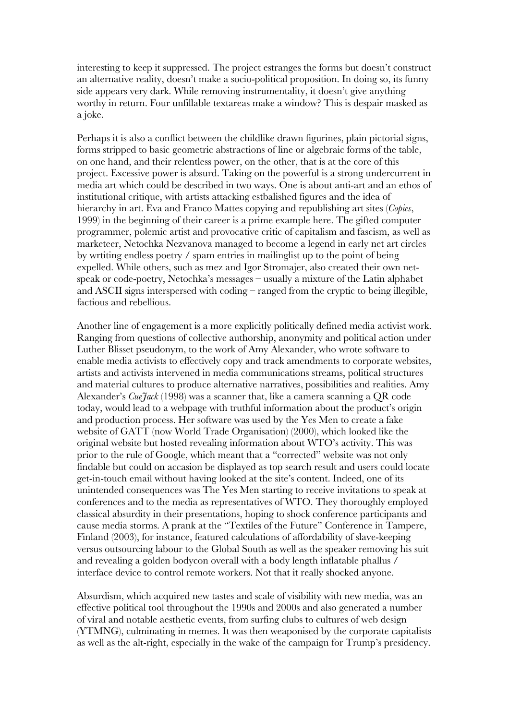interesting to keep it suppressed. The project estranges the forms but doesn't construct an alternative reality, doesn't make a socio-political proposition. In doing so, its funny side appears very dark. While removing instrumentality, it doesn't give anything worthy in return. Four unfillable textareas make a window? This is despair masked as a joke.

Perhaps it is also a conflict between the childlike drawn figurines, plain pictorial signs, forms stripped to basic geometric abstractions of line or algebraic forms of the table, on one hand, and their relentless power, on the other, that is at the core of this project. Excessive power is absurd. Taking on the powerful is a strong undercurrent in media art which could be described in two ways. One is about anti-art and an ethos of institutional critique, with artists attacking estbalished figures and the idea of hierarchy in art. Eva and Franco Mattes copying and republishing art sites (*Copies*, 1999) in the beginning of their career is a prime example here. The gifted computer programmer, polemic artist and provocative critic of capitalism and fascism, as well as marketeer, Netochka Nezvanova managed to become a legend in early net art circles by wrtiting endless poetry / spam entries in mailinglist up to the point of being expelled. While others, such as mez and Igor Stromajer, also created their own netspeak or code-poetry, Netochka's messages – usually a mixture of the Latin alphabet and ASCII signs interspersed with coding – ranged from the cryptic to being illegible, factious and rebellious.

Another line of engagement is a more explicitly politically defined media activist work. Ranging from questions of collective authorship, anonymity and political action under Luther Blisset pseudonym, to the work of Amy Alexander, who wrote software to enable media activists to effectively copy and track amendments to corporate websites, artists and activists intervened in media communications streams, political structures and material cultures to produce alternative narratives, possibilities and realities. Amy Alexander's *CueJack* (1998) was a scanner that, like a camera scanning a QR code today, would lead to a webpage with truthful information about the product's origin and production process. Her software was used by the Yes Men to create a fake website of GATT (now World Trade Organisation) (2000), which looked like the original website but hosted revealing information about WTO's activity. This was prior to the rule of Google, which meant that a "corrected" website was not only findable but could on accasion be displayed as top search result and users could locate get-in-touch email without having looked at the site's content. Indeed, one of its unintended consequences was The Yes Men starting to receive invitations to speak at conferences and to the media as representatives of WTO. They thoroughly employed classical absurdity in their presentations, hoping to shock conference participants and cause media storms. A prank at the "Textiles of the Future" Conference in Tampere, Finland (2003), for instance, featured calculations of affordability of slave-keeping versus outsourcing labour to the Global South as well as the speaker removing his suit and revealing a golden bodycon overall with a body length inflatable phallus / interface device to control remote workers. Not that it really shocked anyone.

Absurdism, which acquired new tastes and scale of visibility with new media, was an effective political tool throughout the 1990s and 2000s and also generated a number of viral and notable aesthetic events, from surfing clubs to cultures of web design (YTMNG), culminating in memes. It was then weaponised by the corporate capitalists as well as the alt-right, especially in the wake of the campaign for Trump's presidency.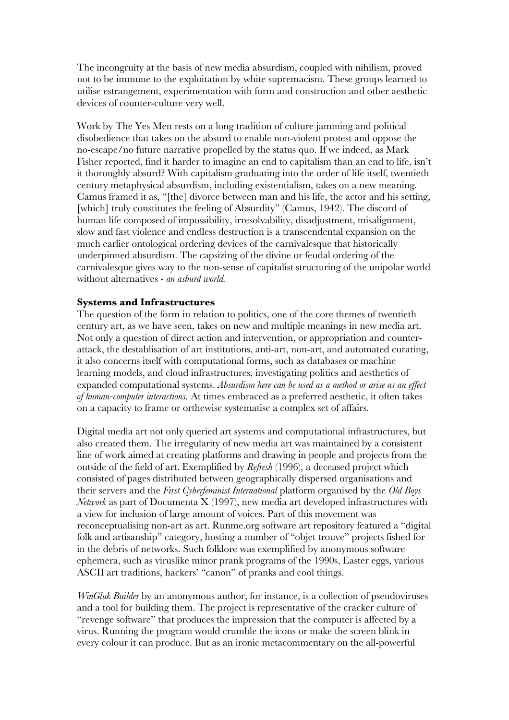The incongruity at the basis of new media absurdism, coupled with nihilism, proved not to be immune to the exploitation by white supremacism. These groups learned to utilise estrangement, experimentation with form and construction and other aesthetic devices of counter-culture very well.

Work by The Yes Men rests on a long tradition of culture jamming and political disobedience that takes on the absurd to enable non-violent protest and oppose the no-escape/no future narrative propelled by the status quo. If we indeed, as Mark Fisher reported, find it harder to imagine an end to capitalism than an end to life, isn't it thoroughly absurd? With capitalism graduating into the order of life itself, twentieth century metaphysical absurdism, including existentialism, takes on a new meaning. Camus framed it as, "[the] divorce between man and his life, the actor and his setting, [which] truly constitutes the feeling of Absurdity" (Camus, 1942). The discord of human life composed of impossibility, irresolvability, disadjustment, misalignment, slow and fast violence and endless destruction is a transcendental expansion on the much earlier ontological ordering devices of the carnivalesque that historically underpinned absurdism. The capsizing of the divine or feudal ordering of the carnivalesque gives way to the non-sense of capitalist structuring of the unipolar world without alternatives - *an asburd world.*

### **Systems and Infrastructures**

The question of the form in relation to politics, one of the core themes of twentieth century art, as we have seen, takes on new and multiple meanings in new media art. Not only a question of direct action and intervention, or appropriation and counterattack, the destablisation of art institutions, anti-art, non-art, and automated curating, it also concerns itself with computational forms, such as databases or machine learning models, and cloud infrastructures, investigating politics and aesthetics of expanded computational systems. *Absurdism here can be used as a method or arise as an effect of human-computer interactions.* At times embraced as a preferred aesthetic, it often takes on a capacity to frame or orthewise systematise a complex set of affairs.

Digital media art not only queried art systems and computational infrastructures, but also created them. The irregularity of new media art was maintained by a consistent line of work aimed at creating platforms and drawing in people and projects from the outside of the field of art. Exemplified by *Refresh* (1996), a deceased project which consisted of pages distributed between geographically dispersed organisations and their servers and the *First Cyberfeminist International* platform organised by the *Old Boys Network* as part of Documenta X (1997), new media art developed infrastructures with a view for inclusion of large amount of voices. Part of this movement was reconceptualising non-art as art. Runme.org software art repository featured a "digital folk and artisanship" category, hosting a number of "objet trouve" projects fished for in the debris of networks. Such folklore was exemplified by anonymous software ephemera, such as viruslike minor prank programs of the 1990s, Easter eggs, various ASCII art traditions, hackers' "canon" of pranks and cool things.

*WinGluk Builder* by an anonymous author, for instance, is a collection of pseudoviruses and a tool for building them. The project is representative of the cracker culture of "revenge software" that produces the impression that the computer is affected by a virus. Running the program would crumble the icons or make the screen blink in every colour it can produce. But as an ironic metacommentary on the all-powerful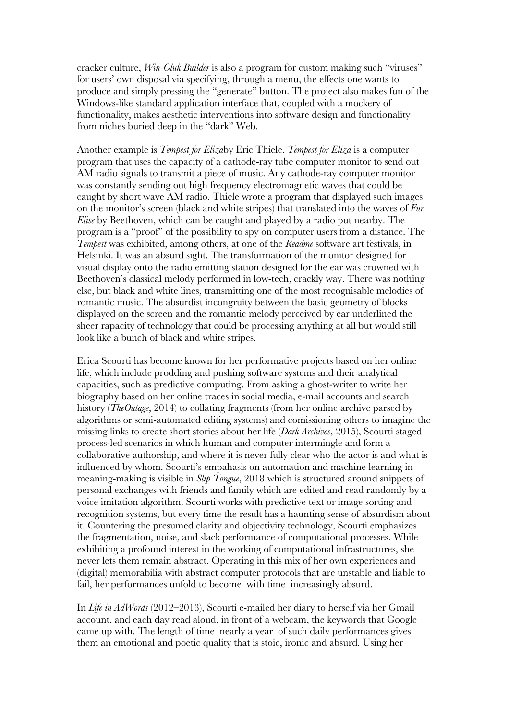cracker culture, *Win-Gluk Builder* is also a program for custom making such "viruses" for users' own disposal via specifying, through a menu, the effects one wants to produce and simply pressing the "generate" button. The project also makes fun of the Windows-like standard application interface that, coupled with a mockery of functionality, makes aesthetic interventions into software design and functionality from niches buried deep in the "dark" Web.

Another example is *Tempest for Eliza*by Eric Thiele. *Tempest for Eliza* is a computer program that uses the capacity of a cathode-ray tube computer monitor to send out AM radio signals to transmit a piece of music. Any cathode-ray computer monitor was constantly sending out high frequency electromagnetic waves that could be caught by short wave AM radio. Thiele wrote a program that displayed such images on the monitor's screen (black and white stripes) that translated into the waves of *Fur Elise* by Beethoven, which can be caught and played by a radio put nearby. The program is a "proof" of the possibility to spy on computer users from a distance. The *Tempest* was exhibited, among others, at one of the *Readme* software art festivals, in Helsinki. It was an absurd sight. The transformation of the monitor designed for visual display onto the radio emitting station designed for the ear was crowned with Beethoven's classical melody performed in low-tech, crackly way. There was nothing else, but black and white lines, transmitting one of the most recognisable melodies of romantic music. The absurdist incongruity between the basic geometry of blocks displayed on the screen and the romantic melody perceived by ear underlined the sheer rapacity of technology that could be processing anything at all but would still look like a bunch of black and white stripes.

Erica Scourti has become known for her performative projects based on her online life, which include prodding and pushing software systems and their analytical capacities, such as predictive computing. From asking a ghost-writer to write her biography based on her online traces in social media, e-mail accounts and search history (*TheOutage*, 2014) to collating fragments (from her online archive parsed by algorithms or semi-automated editing systems) and comissioning others to imagine the missing links to create short stories about her life (*Dark Archives*, 2015), Scourti staged process-led scenarios in which human and computer intermingle and form a collaborative authorship, and where it is never fully clear who the actor is and what is influenced by whom. Scourti's empahasis on automation and machine learning in meaning-making is visible in *Slip Tongue*, 2018 which is structured around snippets of personal exchanges with friends and family which are edited and read randomly by a voice imitation algorithm. Scourti works with predictive text or image sorting and recognition systems, but every time the result has a haunting sense of absurdism about it. Countering the presumed clarity and objectivity technology, Scourti emphasizes the fragmentation, noise, and slack performance of computational processes. While exhibiting a profound interest in the working of computational infrastructures, she never lets them remain abstract. Operating in this mix of her own experiences and (digital) memorabilia with abstract computer protocols that are unstable and liable to fail, her performances unfold to become–with time–increasingly absurd.

In *Life in AdWords* (2012–2013), Scourti e-mailed her diary to herself via her Gmail account, and each day read aloud, in front of a webcam, the keywords that Google came up with. The length of time–nearly a year–of such daily performances gives them an emotional and poetic quality that is stoic, ironic and absurd. Using her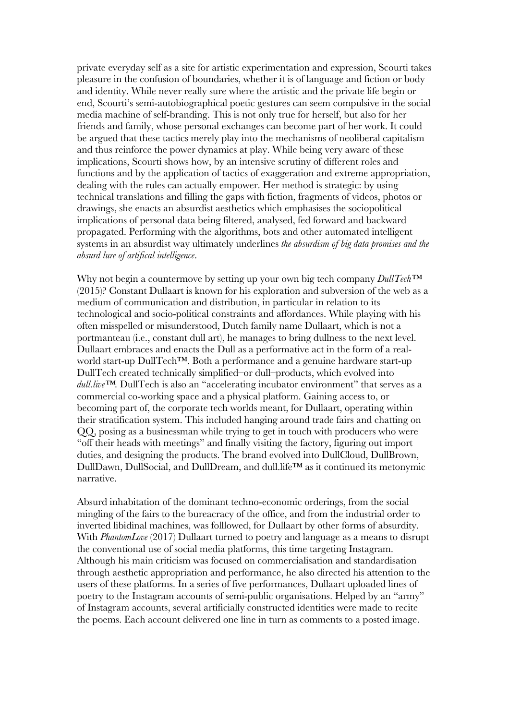private everyday self as a site for artistic experimentation and expression, Scourti takes pleasure in the confusion of boundaries, whether it is of language and fiction or body and identity. While never really sure where the artistic and the private life begin or end, Scourti's semi-autobiographical poetic gestures can seem compulsive in the social media machine of self-branding. This is not only true for herself, but also for her friends and family, whose personal exchanges can become part of her work. It could be argued that these tactics merely play into the mechanisms of neoliberal capitalism and thus reinforce the power dynamics at play. While being very aware of these implications, Scourti shows how, by an intensive scrutiny of different roles and functions and by the application of tactics of exaggeration and extreme appropriation, dealing with the rules can actually empower. Her method is strategic: by using technical translations and filling the gaps with fiction, fragments of videos, photos or drawings, she enacts an absurdist aesthetics which emphasises the sociopolitical implications of personal data being filtered, analysed, fed forward and backward propagated. Performing with the algorithms, bots and other automated intelligent systems in an absurdist way ultimately underlines *the absurdism of big data promises and the absurd lure of artifical intelligence*.

Why not begin a countermove by setting up your own big tech company *DullTech™* (2015)? Constant Dullaart is known for his exploration and subversion of the web as a medium of communication and distribution, in particular in relation to its technological and socio-political constraints and affordances. While playing with his often misspelled or misunderstood, Dutch family name Dullaart, which is not a portmanteau (i.e., constant dull art), he manages to bring dullness to the next level. Dullaart embraces and enacts the Dull as a performative act in the form of a realworld start-up DullTech™. Both a performance and a genuine hardware start-up DullTech created technically simplified–or dull–products, which evolved into *dull.live™*. DullTech is also an "accelerating incubator environment" that serves as a commercial co-working space and a physical platform. Gaining access to, or becoming part of, the corporate tech worlds meant, for Dullaart, operating within their stratification system. This included hanging around trade fairs and chatting on QQ, posing as a businessman while trying to get in touch with producers who were "off their heads with meetings" and finally visiting the factory, figuring out import duties, and designing the products. The brand evolved into DullCloud, DullBrown, DullDawn, DullSocial, and DullDream, and dull.life™ as it continued its metonymic narrative.

Absurd inhabitation of the dominant techno-economic orderings, from the social mingling of the fairs to the bureacracy of the office, and from the industrial order to inverted libidinal machines, was folllowed, for Dullaart by other forms of absurdity. With *PhantomLove* (2017) Dullaart turned to poetry and language as a means to disrupt the conventional use of social media platforms, this time targeting Instagram. Although his main criticism was focused on commercialisation and standardisation through aesthetic appropriation and performance, he also directed his attention to the users of these platforms. In a series of five performances, Dullaart uploaded lines of poetry to the Instagram accounts of semi-public organisations. Helped by an "army" of Instagram accounts, several artificially constructed identities were made to recite the poems. Each account delivered one line in turn as comments to a posted image.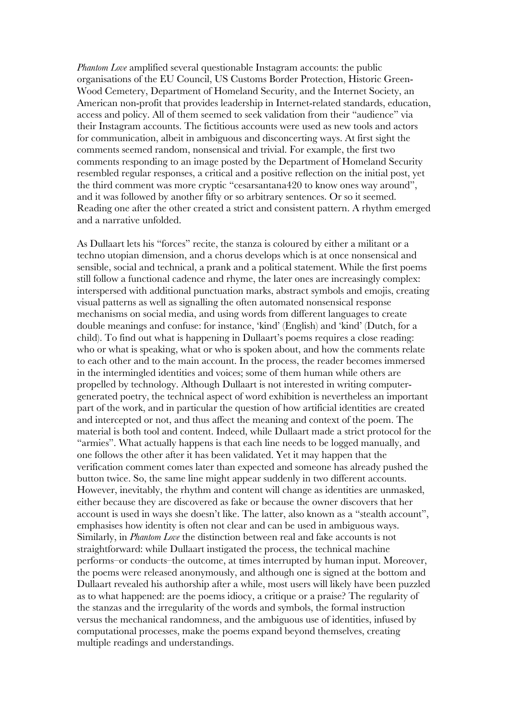*Phantom Love* amplified several questionable Instagram accounts: the public organisations of the EU Council, US Customs Border Protection, Historic Green-Wood Cemetery, Department of Homeland Security, and the Internet Society, an American non-profit that provides leadership in Internet-related standards, education, access and policy. All of them seemed to seek validation from their "audience" via their Instagram accounts. The fictitious accounts were used as new tools and actors for communication, albeit in ambiguous and disconcerting ways. At first sight the comments seemed random, nonsensical and trivial. For example, the first two comments responding to an image posted by the Department of Homeland Security resembled regular responses, a critical and a positive reflection on the initial post, yet the third comment was more cryptic "cesarsantana420 to know ones way around", and it was followed by another fifty or so arbitrary sentences. Or so it seemed. Reading one after the other created a strict and consistent pattern. A rhythm emerged and a narrative unfolded.

As Dullaart lets his "forces" recite, the stanza is coloured by either a militant or a techno utopian dimension, and a chorus develops which is at once nonsensical and sensible, social and technical, a prank and a political statement. While the first poems still follow a functional cadence and rhyme, the later ones are increasingly complex: interspersed with additional punctuation marks, abstract symbols and emojis, creating visual patterns as well as signalling the often automated nonsensical response mechanisms on social media, and using words from different languages to create double meanings and confuse: for instance, 'kind' (English) and 'kind' (Dutch, for a child). To find out what is happening in Dullaart's poems requires a close reading: who or what is speaking, what or who is spoken about, and how the comments relate to each other and to the main account. In the process, the reader becomes immersed in the intermingled identities and voices; some of them human while others are propelled by technology. Although Dullaart is not interested in writing computergenerated poetry, the technical aspect of word exhibition is nevertheless an important part of the work, and in particular the question of how artificial identities are created and intercepted or not, and thus affect the meaning and context of the poem. The material is both tool and content. Indeed, while Dullaart made a strict protocol for the "armies". What actually happens is that each line needs to be logged manually, and one follows the other after it has been validated. Yet it may happen that the verification comment comes later than expected and someone has already pushed the button twice. So, the same line might appear suddenly in two different accounts. However, inevitably, the rhythm and content will change as identities are unmasked, either because they are discovered as fake or because the owner discovers that her account is used in ways she doesn't like. The latter, also known as a "stealth account", emphasises how identity is often not clear and can be used in ambiguous ways. Similarly, in *Phantom Love* the distinction between real and fake accounts is not straightforward: while Dullaart instigated the process, the technical machine performs–or conducts–the outcome, at times interrupted by human input. Moreover, the poems were released anonymously, and although one is signed at the bottom and Dullaart revealed his authorship after a while, most users will likely have been puzzled as to what happened: are the poems idiocy, a critique or a praise? The regularity of the stanzas and the irregularity of the words and symbols, the formal instruction versus the mechanical randomness, and the ambiguous use of identities, infused by computational processes, make the poems expand beyond themselves, creating multiple readings and understandings.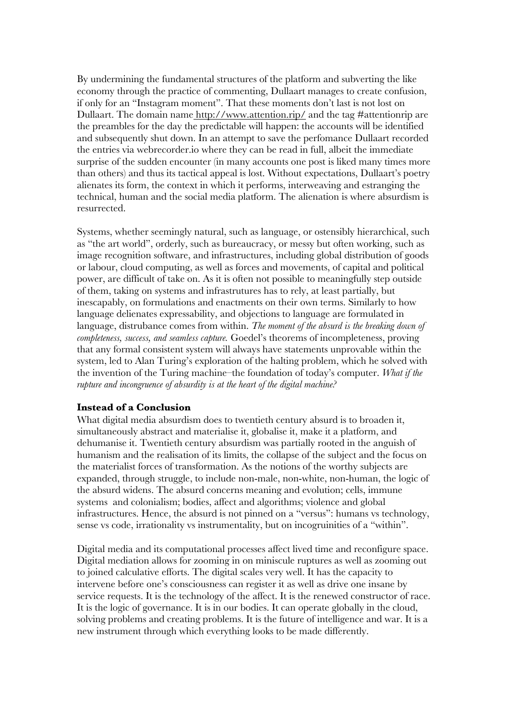By undermining the fundamental structures of the platform and subverting the like economy through the practice of commenting, Dullaart manages to create confusion, if only for an "Instagram moment". That these moments don't last is not lost on Dullaart. The domain name http://www.attention.rip/ and the tag #attentionrip are the preambles for the day the predictable will happen: the accounts will be identified and subsequently shut down. In an attempt to save the perfomance Dullaart recorded the entries via webrecorder.io where they can be read in full, albeit the immediate surprise of the sudden encounter (in many accounts one post is liked many times more than others) and thus its tactical appeal is lost. Without expectations, Dullaart's poetry alienates its form, the context in which it performs, interweaving and estranging the technical, human and the social media platform. The alienation is where absurdism is resurrected.

Systems, whether seemingly natural, such as language, or ostensibly hierarchical, such as "the art world", orderly, such as bureaucracy, or messy but often working, such as image recognition software, and infrastructures, including global distribution of goods or labour, cloud computing, as well as forces and movements, of capital and political power, are difficult of take on. As it is often not possible to meaningfully step outside of them, taking on systems and infrastrutures has to rely, at least partially, but inescapably, on formulations and enactments on their own terms. Similarly to how language delienates expressability, and objections to language are formulated in language, distrubance comes from within. *The moment of the absurd is the breaking down of completeness, success, and seamless capture.* Goedel's theorems of incompleteness, proving that any formal consistent system will always have statements unprovable within the system, led to Alan Turing's exploration of the halting problem, which he solved with the invention of the Turing machine–the foundation of today's computer. *What if the rupture and incongruence of absurdity is at the heart of the digital machine?*

#### **Instead of a Conclusion**

What digital media absurdism does to twentieth century absurd is to broaden it, simultaneously abstract and materialise it, globalise it, make it a platform, and dehumanise it. Twentieth century absurdism was partially rooted in the anguish of humanism and the realisation of its limits, the collapse of the subject and the focus on the materialist forces of transformation. As the notions of the worthy subjects are expanded, through struggle, to include non-male, non-white, non-human, the logic of the absurd widens. The absurd concerns meaning and evolution; cells, immune systems and colonialism; bodies, affect and algorithms; violence and global infrastructures. Hence, the absurd is not pinned on a "versus": humans vs technology, sense vs code, irrationality vs instrumentality, but on incogruinities of a "within".

Digital media and its computational processes affect lived time and reconfigure space. Digital mediation allows for zooming in on miniscule ruptures as well as zooming out to joined calculative efforts. The digital scales very well. It has the capacity to intervene before one's consciousness can register it as well as drive one insane by service requests. It is the technology of the affect. It is the renewed constructor of race. It is the logic of governance. It is in our bodies. It can operate globally in the cloud, solving problems and creating problems. It is the future of intelligence and war. It is a new instrument through which everything looks to be made differently.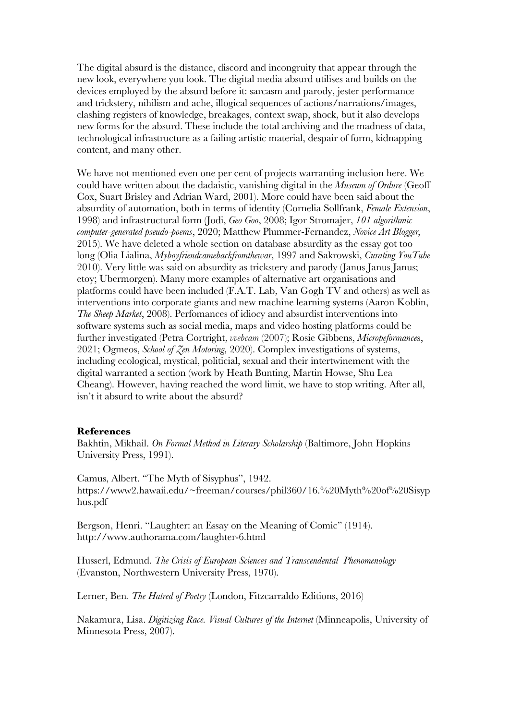The digital absurd is the distance, discord and incongruity that appear through the new look, everywhere you look. The digital media absurd utilises and builds on the devices employed by the absurd before it: sarcasm and parody, jester performance and trickstery, nihilism and ache, illogical sequences of actions/narrations/images, clashing registers of knowledge, breakages, context swap, shock, but it also develops new forms for the absurd. These include the total archiving and the madness of data, technological infrastructure as a failing artistic material, despair of form, kidnapping content, and many other.

We have not mentioned even one per cent of projects warranting inclusion here. We could have written about the dadaistic, vanishing digital in the *Museum of Ordure* (Geoff Cox, Suart Brisley and Adrian Ward, 2001). More could have been said about the absurdity of automation, both in terms of identity (Cornelia Sollfrank, *Female Extension*, 1998) and infrastructural form (Jodi, *Geo Goo*, 2008; Igor Stromajer, *101 algorithmic computer-generated pseudo-poems*, 2020; Matthew Plummer-Fernandez, *Novice Art Blogger,*  2015). We have deleted a whole section on database absurdity as the essay got too long (Olia Lialina, *Myboyfriendcamebackfromthewar*, 1997 and Sakrowski, *Curating YouTube* 2010). Very little was said on absurdity as trickstery and parody (Janus Janus Janus; etoy; Ubermorgen). Many more examples of alternative art organisations and platforms could have been included (F.A.T. Lab, Van Gogh TV and others) as well as interventions into corporate giants and new machine learning systems (Aaron Koblin, *The Sheep Market*, 2008). Perfomances of idiocy and absurdist interventions into software systems such as social media, maps and video hosting platforms could be further investigated (Petra Cortright, *vvebcam* (2007); Rosie Gibbens, *Micropeformance*s, 2021; Ogmeos, *School of Zen Motoring,* 2020). Complex investigations of systems, including ecological, mystical, politicial, sexual and their intertwinement with the digital warranted a section (work by Heath Bunting, Martin Howse, Shu Lea Cheang). However, having reached the word limit, we have to stop writing. After all, isn't it absurd to write about the absurd?

#### **References**

Bakhtin, Mikhail. *On Formal Method in Literary Scholarship* (Baltimore, John Hopkins University Press, 1991).

Camus, Albert. "The Myth of Sisyphus", 1942. https://www2.hawaii.edu/~freeman/courses/phil360/16.%20Myth%20of%20Sisyp hus.pdf

Bergson, Henri. "Laughter: an Essay on the Meaning of Comic" (1914). http://www.authorama.com/laughter-6.html

Husserl, Edmund. *The Crisis of European Sciences and Transcendental Phenomenology* (Evanston, Northwestern University Press, 1970).

Lerner, Ben*. The Hatred of Poetry* (London, Fitzcarraldo Editions, 2016)

Nakamura, Lisa. *Digitizing Race. Visual Cultures of the Internet* (Minneapolis, University of Minnesota Press, 2007).